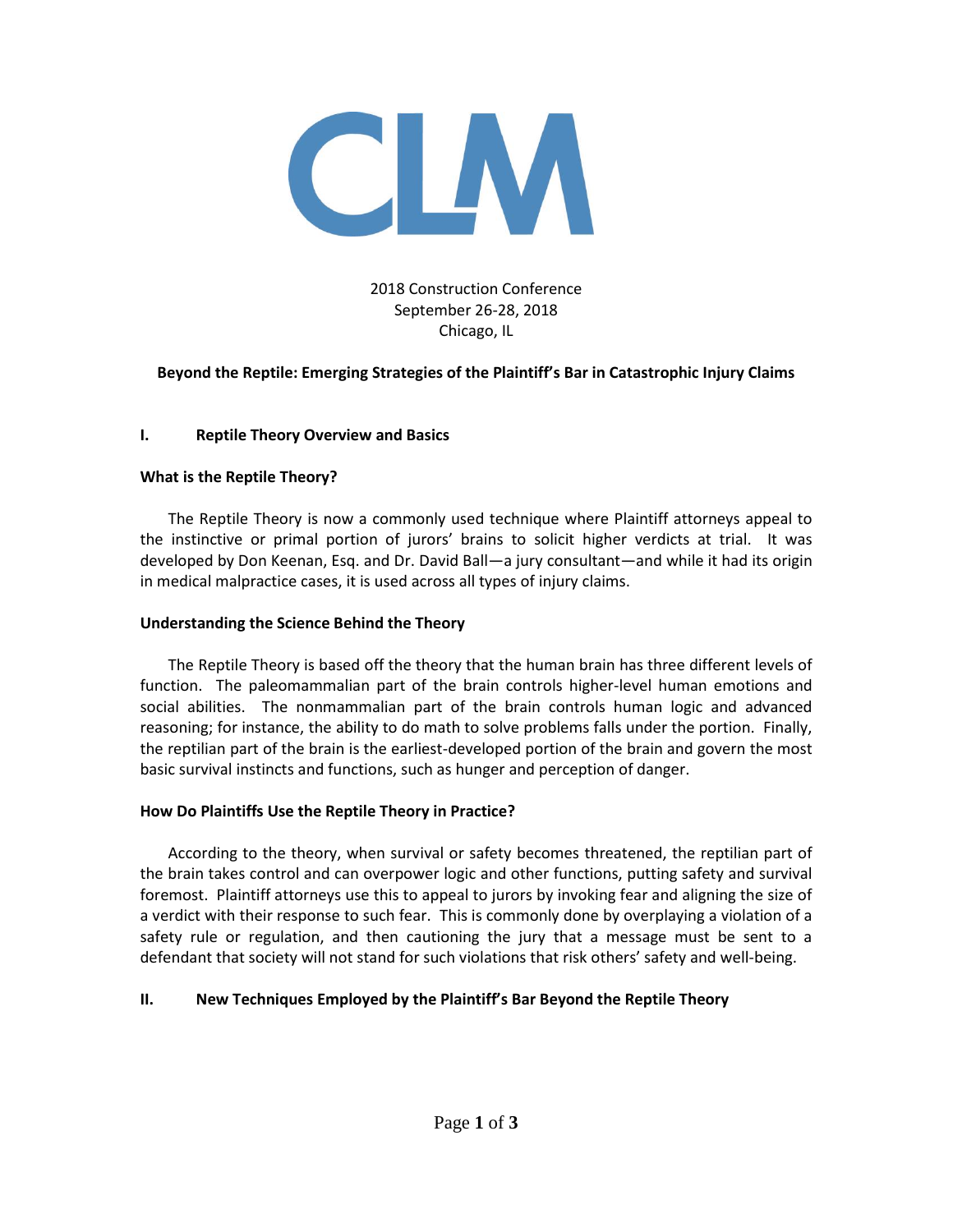

# 2018 Construction Conference September 26-28, 2018 Chicago, IL

## **Beyond the Reptile: Emerging Strategies of the Plaintiff's Bar in Catastrophic Injury Claims**

### **I. Reptile Theory Overview and Basics**

#### **What is the Reptile Theory?**

The Reptile Theory is now a commonly used technique where Plaintiff attorneys appeal to the instinctive or primal portion of jurors' brains to solicit higher verdicts at trial. It was developed by Don Keenan, Esq. and Dr. David Ball—a jury consultant—and while it had its origin in medical malpractice cases, it is used across all types of injury claims.

#### **Understanding the Science Behind the Theory**

The Reptile Theory is based off the theory that the human brain has three different levels of function. The paleomammalian part of the brain controls higher-level human emotions and social abilities. The nonmammalian part of the brain controls human logic and advanced reasoning; for instance, the ability to do math to solve problems falls under the portion. Finally, the reptilian part of the brain is the earliest-developed portion of the brain and govern the most basic survival instincts and functions, such as hunger and perception of danger.

### **How Do Plaintiffs Use the Reptile Theory in Practice?**

According to the theory, when survival or safety becomes threatened, the reptilian part of the brain takes control and can overpower logic and other functions, putting safety and survival foremost. Plaintiff attorneys use this to appeal to jurors by invoking fear and aligning the size of a verdict with their response to such fear. This is commonly done by overplaying a violation of a safety rule or regulation, and then cautioning the jury that a message must be sent to a defendant that society will not stand for such violations that risk others' safety and well-being.

### **II. New Techniques Employed by the Plaintiff's Bar Beyond the Reptile Theory**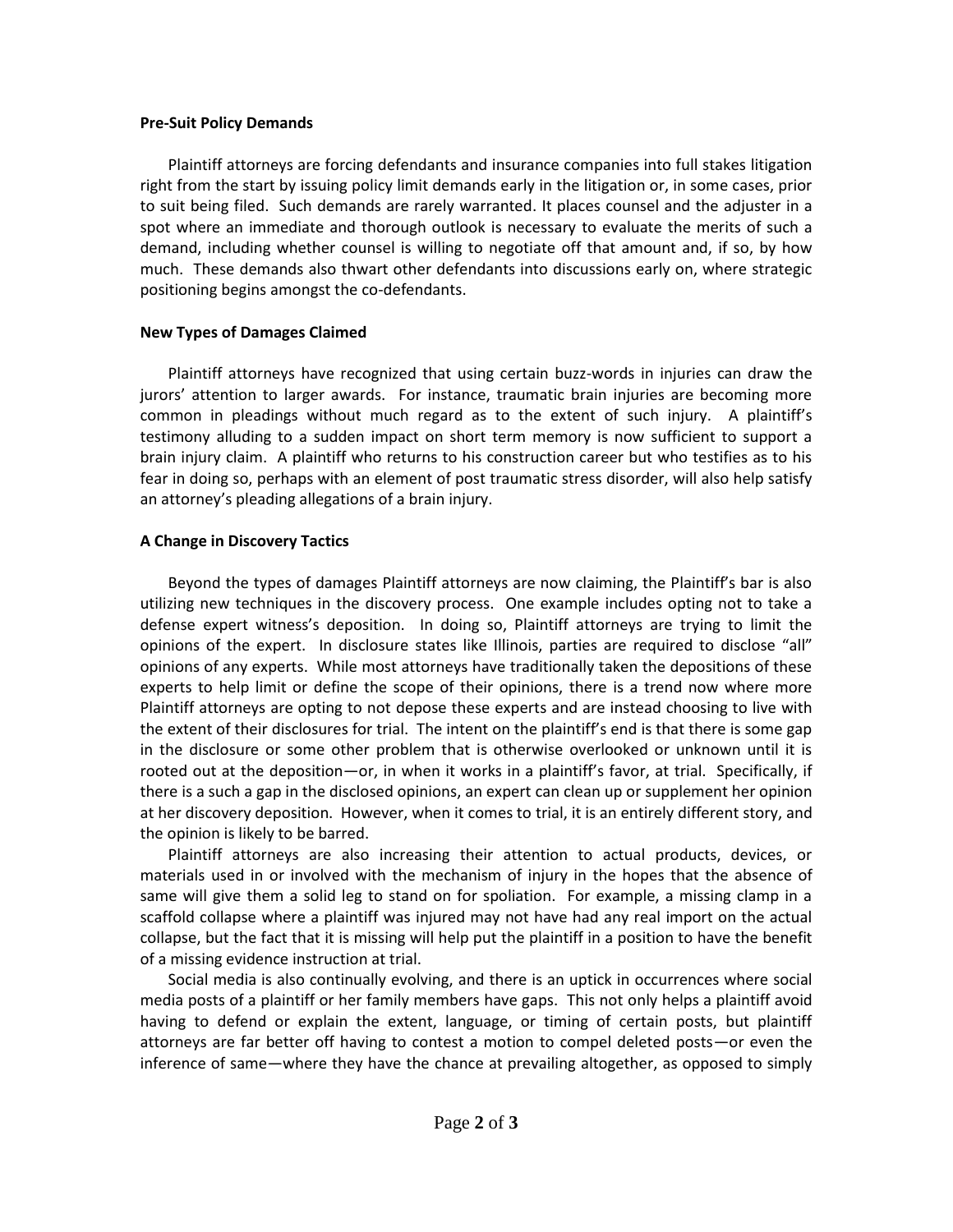#### **Pre-Suit Policy Demands**

Plaintiff attorneys are forcing defendants and insurance companies into full stakes litigation right from the start by issuing policy limit demands early in the litigation or, in some cases, prior to suit being filed. Such demands are rarely warranted. It places counsel and the adjuster in a spot where an immediate and thorough outlook is necessary to evaluate the merits of such a demand, including whether counsel is willing to negotiate off that amount and, if so, by how much. These demands also thwart other defendants into discussions early on, where strategic positioning begins amongst the co-defendants.

### **New Types of Damages Claimed**

Plaintiff attorneys have recognized that using certain buzz-words in injuries can draw the jurors' attention to larger awards. For instance, traumatic brain injuries are becoming more common in pleadings without much regard as to the extent of such injury. A plaintiff's testimony alluding to a sudden impact on short term memory is now sufficient to support a brain injury claim. A plaintiff who returns to his construction career but who testifies as to his fear in doing so, perhaps with an element of post traumatic stress disorder, will also help satisfy an attorney's pleading allegations of a brain injury.

## **A Change in Discovery Tactics**

Beyond the types of damages Plaintiff attorneys are now claiming, the Plaintiff's bar is also utilizing new techniques in the discovery process. One example includes opting not to take a defense expert witness's deposition. In doing so, Plaintiff attorneys are trying to limit the opinions of the expert. In disclosure states like Illinois, parties are required to disclose "all" opinions of any experts. While most attorneys have traditionally taken the depositions of these experts to help limit or define the scope of their opinions, there is a trend now where more Plaintiff attorneys are opting to not depose these experts and are instead choosing to live with the extent of their disclosures for trial. The intent on the plaintiff's end is that there is some gap in the disclosure or some other problem that is otherwise overlooked or unknown until it is rooted out at the deposition—or, in when it works in a plaintiff's favor, at trial. Specifically, if there is a such a gap in the disclosed opinions, an expert can clean up or supplement her opinion at her discovery deposition. However, when it comes to trial, it is an entirely different story, and the opinion is likely to be barred.

Plaintiff attorneys are also increasing their attention to actual products, devices, or materials used in or involved with the mechanism of injury in the hopes that the absence of same will give them a solid leg to stand on for spoliation. For example, a missing clamp in a scaffold collapse where a plaintiff was injured may not have had any real import on the actual collapse, but the fact that it is missing will help put the plaintiff in a position to have the benefit of a missing evidence instruction at trial.

Social media is also continually evolving, and there is an uptick in occurrences where social media posts of a plaintiff or her family members have gaps. This not only helps a plaintiff avoid having to defend or explain the extent, language, or timing of certain posts, but plaintiff attorneys are far better off having to contest a motion to compel deleted posts—or even the inference of same—where they have the chance at prevailing altogether, as opposed to simply